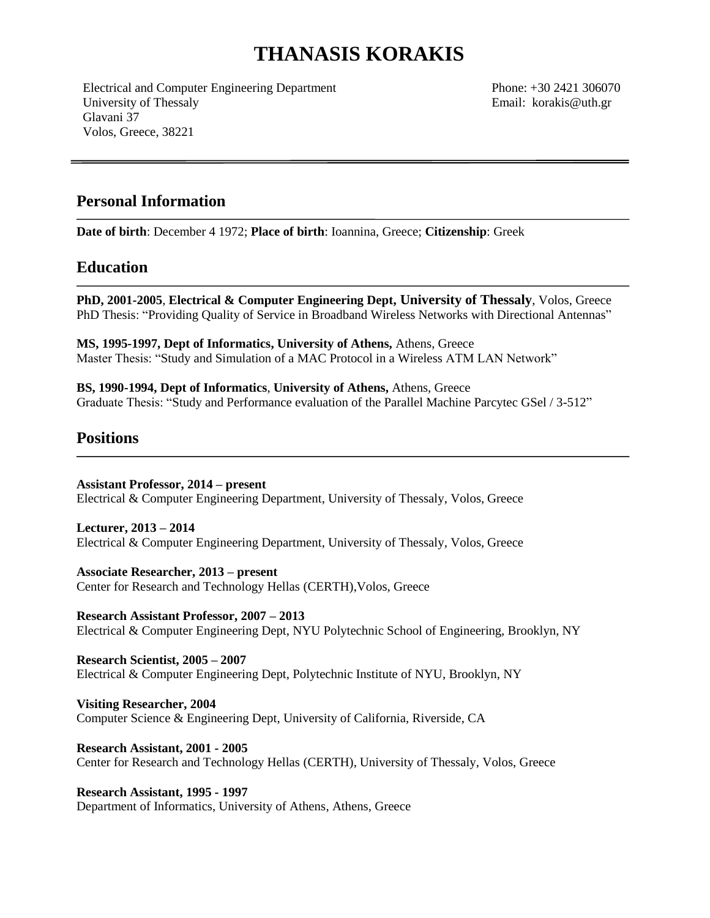# **THANASIS KORAKIS**

Electrical and Computer Engineering Department University of Thessaly Glavani 37 Volos, Greece, 38221

Phone: +30 2421 306070 Email: korakis@uth.gr

#### **Personal Information**

**Date of birth**: December 4 1972; **Place of birth**: Ioannina, Greece; **Citizenship**: Greek

#### **Education**

**PhD, 2001-2005**, **Electrical & Computer Engineering Dept, University of Thessaly**, Volos, Greece PhD Thesis: "Providing Quality of Service in Broadband Wireless Networks with Directional Antennas"

**MS, 1995-1997, Dept of Informatics, University of Athens,** Athens, Greece Master Thesis: "Study and Simulation of a MAC Protocol in a Wireless ΑΤΜ LAN Network"

**BS, 1990-1994, Dept of Informatics**, **University of Athens,** Athens, Greece Graduate Thesis: "Study and Performance evaluation of the Parallel Machine Parcytec GSel / 3-512"

#### **Positions**

**Assistant Professor, 2014 – present** Electrical & Computer Engineering Department, University of Thessaly, Volos, Greece

**Lecturer, 2013 – 2014** Electrical & Computer Engineering Department, University of Thessaly, Volos, Greece

**Associate Researcher, 2013 – present** Center for Research and Technology Hellas (CERTH),Volos, Greece

**Research Assistant Professor, 2007 – 2013** Electrical & Computer Engineering Dept, NYU Polytechnic School of Engineering, Brooklyn, NY

**Research Scientist, 2005 – 2007** Electrical & Computer Engineering Dept, Polytechnic Institute of NYU, Brooklyn, NY

**Visiting Researcher, 2004**  Computer Science & Engineering Dept, University of California, Riverside, CA

**Research Assistant, 2001 - 2005** Center for Research and Technology Hellas (CERTH), University of Thessaly, Volos, Greece

**Research Assistant, 1995 - 1997** Department of Informatics, University of Athens, Athens, Greece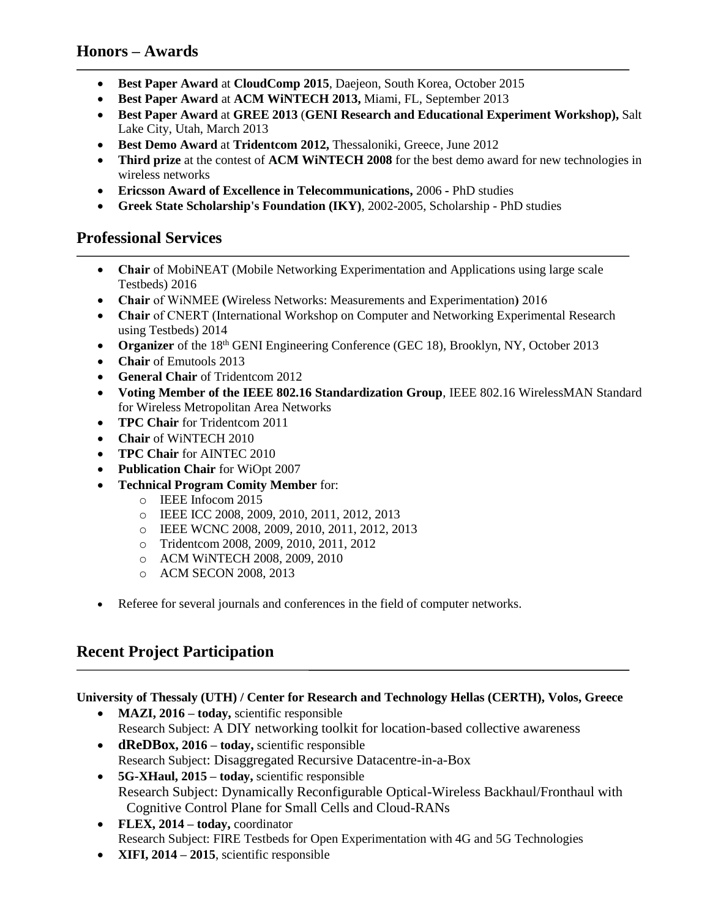### **Honors – Awards**

- **Best Paper Award** at **CloudComp 2015**, Daejeon, South Korea, October 2015
- **Best Paper Award** at **ACM WiNTECH 2013,** Miami, FL, September 2013
- **Best Paper Award** at **GREE 2013** (**GENI Research and Educational Experiment Workshop),** Salt Lake City, Utah, March 2013
- **Best Demo Award** at **Tridentcom 2012,** Thessaloniki, Greece, June 2012
- **Third prize** at the contest of **ACM WiNTECH 2008** for the best demo award for new technologies in wireless networks
- **Ericsson Award of Excellence in Telecommunications,** 2006 **-** PhD studies
- **Greek State Scholarship's Foundation (IKY)**, 2002-2005, Scholarship PhD studies

#### **Professional Services**

- **Chair** of MobiNEAT (Mobile Networking Experimentation and Applications using large scale Testbeds) 2016
- **Chair** of WiNMEE **(**Wireless Networks: Measurements and Experimentation**)** 2016
- **Chair** of CNERT (International Workshop on Computer and Networking Experimental Research using Testbeds) 2014
- **Organizer** of the 18<sup>th</sup> GENI Engineering Conference (GEC 18), Brooklyn, NY, October 2013
- **Chair** of Emutools 2013
- **General Chair** of Tridentcom 2012
- **Voting Member of the IEEE 802.16 Standardization Group**, IEEE 802.16 WirelessMAN Standard for Wireless Metropolitan Area Networks
- **TPC Chair** for Tridentcom 2011
- **Chair** of WiNTECH 2010
- **TPC Chair** for AINTEC 2010
- **Publication Chair** for [WiOpt 2007](http://www.wiopt.org/)
- **Technical Program Comity Member** for:
	- o IEEE Infocom 2015
	- o IEEE ICC 2008, 2009, 2010, 2011, 2012, 2013
	- o IEEE WCNC 2008, 2009, 2010, 2011, 2012, 2013
	- o Tridentcom 2008, 2009, 2010, 2011, 2012
	- o ACM WiNTECH 2008, 2009, 2010
	- o ACM SECON 2008, 2013
- Referee for several journals and conferences in the field of computer networks.

# **Recent Project Participation**

**University of Thessaly (UTH) / Center for Research and Technology Hellas (CERTH), Volos, Greece**

- **MAZI, 2016 <b>today**, scientific responsible Research Subject: A DIY networking toolkit for location-based collective awareness
- **dReDBox, 2016 – today,** scientific responsible Research Subject: Disaggregated Recursive Datacentre-in-a-Box
- **5G-XHaul, 2015 – today,** scientific responsible Research Subject: Dynamically Reconfigurable Optical-Wireless Backhaul/Fronthaul with Cognitive Control Plane for Small Cells and Cloud-RANs
- **FLEX, 2014 – today,** coordinator Research Subject: FIRE Testbeds for Open Experimentation with 4G and 5G Technologies
- **XIFI, 2014 – 2015**, scientific responsible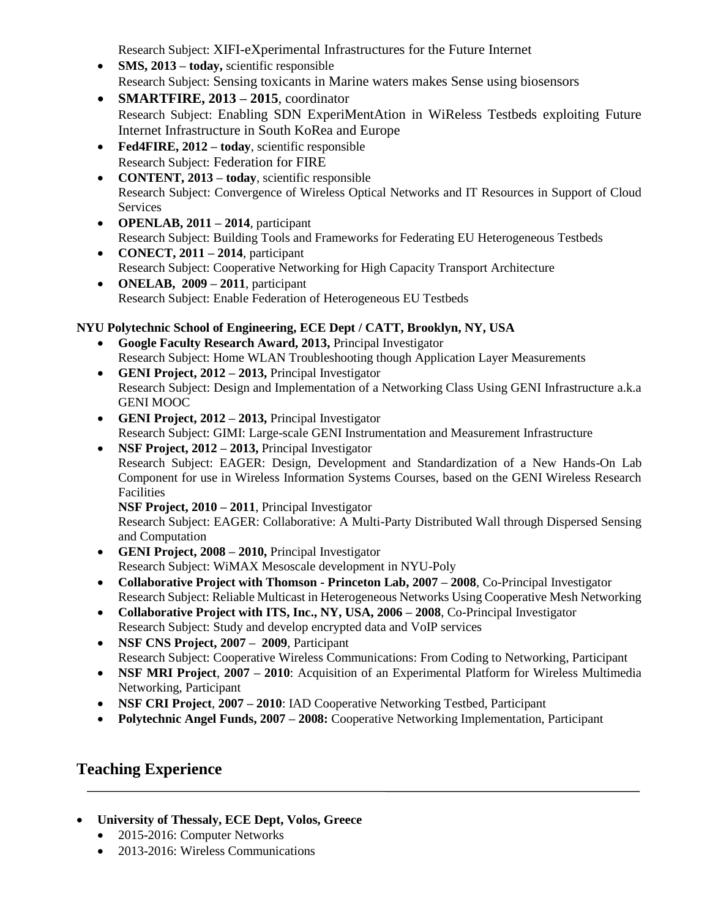Research Subject: XIFI-eXperimental Infrastructures for the Future Internet

- **SMS, 2013 <b>today**, scientific responsible Research Subject: Sensing toxicants in Marine waters makes Sense using biosensors
- **SMARTFIRE, 2013 – 2015**, coordinator Research Subject: Enabling SDN ExperiMentAtion in WiReless Testbeds exploiting Future Internet Infrastructure in South KoRea and Europe
- **Fed4FIRE, 2012 – today**, scientific responsible Research Subject: Federation for FIRE
- **CONTENT, 2013 – today**, scientific responsible Research Subject: Convergence of Wireless Optical Networks and IT Resources in Support of Cloud Services
- **OPENLAB, 2011 – 2014**, participant Research Subject: Building Tools and Frameworks for Federating EU Heterogeneous Testbeds
- **CONECT, 2011 – 2014**, participant Research Subject: Cooperative Networking for High Capacity Transport Architecture
- **ONELAB, 2009 – 2011**, participant Research Subject: Enable Federation of Heterogeneous EU Testbeds

# **NYU Polytechnic School of Engineering, ECE Dept / CATT, Brooklyn, NY, USA**

- **Google Faculty Research Award, 2013,** Principal Investigator Research Subject: Home WLAN Troubleshooting though Application Layer Measurements
- **GENI Project, 2012 – 2013,** Principal Investigator Research Subject: Design and Implementation of a Networking Class Using GENI Infrastructure a.k.a GENI MOOC
- **GENI Project, 2012 – 2013,** Principal Investigator Research Subject: GIMI: Large-scale GENI Instrumentation and Measurement Infrastructure
- **NSF Project, 2012 2013, Principal Investigator** Research Subject: EAGER: Design, Development and Standardization of a New Hands-On Lab Component for use in Wireless Information Systems Courses, based on the GENI Wireless Research Facilities

**NSF Project, 2010 – 2011**, Principal Investigator

Research Subject: EAGER: Collaborative: A Multi-Party Distributed Wall through Dispersed Sensing and Computation

- **GENI Project, 2008 – 2010,** Principal Investigator Research Subject: WiMAX Mesoscale development in NYU-Poly
- **Collaborative Project with Thomson - Princeton Lab, 2007 – 2008**, Co-Principal Investigator Research Subject: Reliable Multicast in Heterogeneous Networks Using Cooperative Mesh Networking
- **Collaborative Project with ITS, Inc., NY, USA, 2006 – 2008**, Co-Principal Investigator Research Subject: Study and develop encrypted data and VoIP services
- **NSF CNS Project, 2007 2009**, Participant Research Subject: Cooperative Wireless Communications: From Coding to Networking, Participant
- **NSF MRI Project**, **2007 – 2010**: Acquisition of an Experimental Platform for Wireless Multimedia Networking, Participant
- **NSF CRI Project**, **2007 – 2010**: IAD Cooperative Networking Testbed, Participant
- **Polytechnic Angel Funds, 2007 – 2008:** Cooperative Networking Implementation, Participant

# **Teaching Experience**

- **University of Thessaly, ECE Dept, Volos, Greece**
	- 2015-2016: Computer Networks
	- 2013-2016: Wireless Communications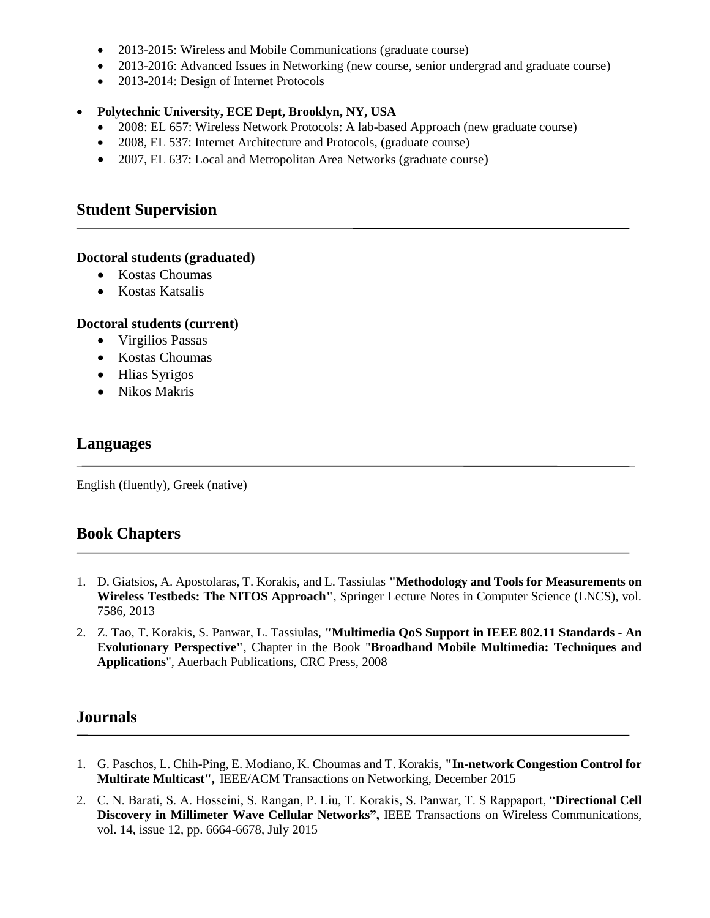- 2013-2015: Wireless and Mobile Communications (graduate course)
- 2013-2016: Advanced Issues in Networking (new course, senior undergrad and graduate course)
- 2013-2014: Design of Internet Protocols

#### **Polytechnic University, ECE Dept, Brooklyn, NY, USA**

- 2008: EL 657: Wireless Network Protocols: A lab-based Approach (new graduate course)
- 2008, EL 537: Internet Architecture and Protocols, (graduate course)
- 2007, EL 637: [Local and Metropolitan Area Networks](http://www.poly.edu/ece/graduate/courses/el637/index.php) (graduate course)

#### **Student Supervision**

#### **Doctoral students (graduated)**

- Kostas Choumas
- Kostas Katsalis

#### **Doctoral students (current)**

- Virgilios Passas
- Kostas Choumas
- Hlias Syrigos
- Nikos Makris

#### **Languages**

English (fluently), Greek (native)

#### **Book Chapters**

- 1. D. Giatsios, A. Apostolaras, T. Korakis, and L. Tassiulas **"Methodology and Tools for Measurements on Wireless Testbeds: The NITOS Approach"**, Springer Lecture Notes in Computer Science (LNCS), vol. 7586, 2013
- 2. Z. Tao, T. Korakis, S. Panwar, L. Tassiulas, **"Multimedia QoS Support in IEEE 802.11 Standards - An Evolutionary Perspective"**, Chapter in the Book "**Broadband Mobile Multimedia: Techniques and Applications**", Auerbach Publications, CRC Press, 2008

#### **Journals**

- 1. G. Paschos, L. Chih-Ping, E. Modiano, K. Choumas and T. Korakis, **"In-network Congestion Control for Multirate Multicast",** IEEE/ACM Transactions on Networking, December 2015
- 2. C. N. Barati, S. A. Hosseini, S. Rangan, P. Liu, T. Korakis, S. Panwar, T. S Rappaport, "**Directional Cell Discovery in Millimeter Wave Cellular Networks",** IEEE Transactions on Wireless Communications, vol. 14, issue 12, pp. 6664-6678, July 2015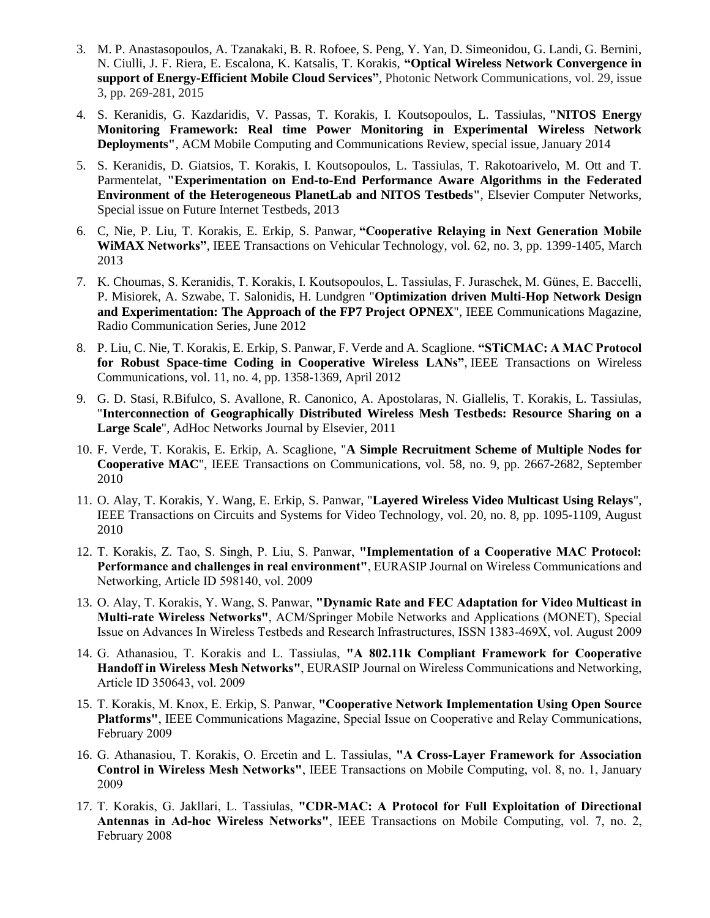- 3. M. P. Anastasopoulos, A. Tzanakaki, B. R. Rofoee, S. Peng, Y. Yan, D. Simeonidou, G. Landi, G. Bernini, N. Ciulli, J. F. Riera, E. Escalona, K. Katsalis, T. Korakis, **"Optical Wireless Network Convergence in support of Energy-Efficient Mobile Cloud Services"**, Photonic Network Communications, vol. 29, issue 3, pp. 269-281, 2015
- 4. S. Keranidis, G. Kazdaridis, V. Passas, T. Korakis, I. Koutsopoulos, L. Tassiulas, **"NITOS Energy Monitoring Framework: Real time Power Monitoring in Experimental Wireless Network Deployments"**, ACM Mobile Computing and Communications Review, special issue, January 2014
- 5. S. Keranidis, D. Giatsios, T. Korakis, I. Koutsopoulos, L. Tassiulas, T. Rakotoarivelo, M. Ott and T. Parmentelat, **"Experimentation on End-to-End Performance Aware Algorithms in the Federated Environment of the Heterogeneous PlanetLab and NITOS Testbeds"**, Elsevier Computer Networks, Special issue on Future Internet Testbeds, 2013
- 6. C, Nie, P. Liu, T. Korakis, E. Erkip, S. Panwar, **"Cooperative Relaying in Next Generation Mobile WiMAX Networks"**, IEEE Transactions on Vehicular Technology, vol. 62, no. 3, pp. 1399-1405, March 2013
- 7. K. Choumas, S. Keranidis, T. Korakis, I. Koutsopoulos, L. Tassiulas, F. Juraschek, M. Günes, E. Baccelli, P. Misiorek, A. Szwabe, T. Salonidis, H. Lundgren "**Optimization driven Multi-Hop Network Design and Experimentation: The Approach of the FP7 Project OPNEX**", IEEE Communications Magazine, Radio Communication Series, June 2012
- 8. P. Liu, C. Nie, T. Korakis, E. Erkip, S. Panwar, F. Verde and A. Scaglione. **"STiCMAC: A MAC Protocol for Robust Space-time Coding in Cooperative Wireless LANs"**, IEEE Transactions on Wireless Communications, vol. 11, no. 4, pp. 1358-1369, April 2012
- 9. G. D. Stasi, R.Bifulco, S. Avallone, R. Canonico, A. Apostolaras, N. Giallelis, T. Korakis, L. Tassiulas, "**Interconnection of Geographically Distributed Wireless Mesh Testbeds: Resource Sharing on a Large Scale**", AdHoc Networks Journal by Elsevier, 2011
- 10. F. Verde, T. Korakis, E. Erkip, A. Scaglione, "**A Simple Recruitment Scheme of Multiple Nodes for Cooperative MAC**", IEEE Transactions on Communications, vol. 58, no. 9, pp. 2667-2682, September 2010
- 11. O. Alay, T. Korakis, Y. Wang, E. Erkip, S. Panwar, "**Layered Wireless Video Multicast Using Relays**", IEEE Transactions on Circuits and Systems for Video Technology, vol. 20, no. 8, pp. 1095-1109, August 2010
- 12. T. Korakis, Z. Tao, S. Singh, P. Liu, S. Panwar, **"Implementation of a Cooperative MAC Protocol: Performance and challenges in real environment"**, EURASIP Journal on Wireless Communications and Networking, Article ID 598140, vol. 2009
- 13. O. Alay, T. Korakis, Y. Wang, S. Panwar, **"Dynamic Rate and FEC Adaptation for Video Multicast in Multi-rate Wireless Networks"**, ACM/Springer Mobile Networks and Applications (MONET), Special Issue on Advances In Wireless Testbeds and Research Infrastructures, ISSN 1383-469X, vol. August 2009
- 14. G. Athanasiou, T. Korakis and L. Tassiulas, **"A 802.11k Compliant Framework for Cooperative Handoff in Wireless Mesh Networks"**, EURASIP Journal on Wireless Communications and Networking, Article ID 350643, vol. 2009
- 15. T. Korakis, M. Knox, E. Erkip, S. Panwar, **"Cooperative Network Implementation Using Open Source Platforms"**, IEEE Communications Magazine, Special Issue on Cooperative and Relay Communications, February 2009
- 16. G. Athanasiou, T. Korakis, O. Ercetin and L. Tassiulas, **"A Cross-Layer Framework for Association Control in Wireless Mesh Networks"**, IEEE Transactions on Mobile Computing, vol. 8, no. 1, January 2009
- 17. T. Korakis, G. Jakllari, L. Tassiulas, **"CDR-MAC: A Protocol for Full Exploitation of Directional Antennas in Ad-hoc Wireless Networks"**, IEEE Transactions on Mobile Computing, vol. 7, no. 2, February 2008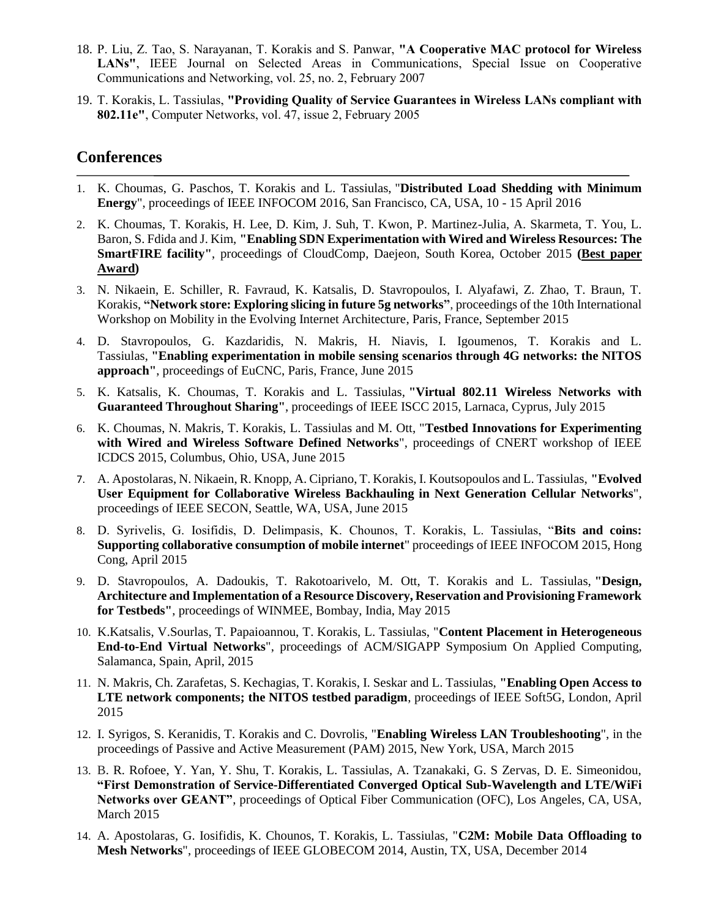- 18. P. Liu, Z. Tao, S. Narayanan, T. Korakis and S. Panwar, **"A Cooperative MAC protocol for Wireless LANs"**, IEEE Journal on Selected Areas in Communications, Special Issue on Cooperative Communications and Networking, vol. 25, no. 2, February 2007
- 19. T. Korakis, L. Tassiulas, **"Providing Quality of Service Guarantees in Wireless LANs compliant with 802.11e"**, Computer Networks, vol. 47, issue 2, February 2005

#### **Conferences**

- 1. K. Choumas, G. Paschos, T. Korakis and L. Tassiulas, "**Distributed Load Shedding with Minimum Energy**", proceedings of IEEE INFOCOM 2016, San Francisco, CA, USA, 10 - 15 April 2016
- 2. K. Choumas, T. Korakis, H. Lee, D. Kim, J. Suh, T. Kwon, P. Martinez-Julia, A. Skarmeta, T. You, L. Baron, S. Fdida and J. Kim, **"Enabling SDN Experimentation with Wired and Wireless Resources: The SmartFIRE facility"**, proceedings of CloudComp, Daejeon, South Korea, October 2015 **(Best paper Award)**
- 3. N. Nikaein, E. Schiller, R. Favraud, K. Katsalis, D. Stavropoulos, I. Alyafawi, Z. Zhao, T. Braun, T. Korakis, **"Network store: Exploring slicing in future 5g networks"**, proceedings of the 10th International Workshop on Mobility in the Evolving Internet Architecture, Paris, France, September 2015
- 4. D. Stavropoulos, G. Kazdaridis, N. Makris, H. Niavis, I. Igoumenos, T. Korakis and L. Tassiulas, **"Enabling experimentation in mobile sensing scenarios through 4G networks: the NITOS approach"**, proceedings of EuCNC, Paris, France, June 2015
- 5. K. Katsalis, K. Choumas, T. Korakis and L. Tassiulas, **"Virtual 802.11 Wireless Networks with Guaranteed Throughout Sharing"**, proceedings of IEEE ISCC 2015, Larnaca, Cyprus, July 2015
- 6. K. Choumas, N. Makris, T. Korakis, L. Tassiulas and M. Ott, "**Testbed Innovations for Experimenting with Wired and Wireless Software Defined Networks**", proceedings of CNERT workshop of IEEE ICDCS 2015, Columbus, Ohio, USA, June 2015
- 7. A. Apostolaras, N. Nikaein, R. Knopp, A. Cipriano, T. Korakis, I. Koutsopoulos and L. Tassiulas, **"Evolved User Equipment for Collaborative Wireless Backhauling in Next Generation Cellular Networks**", proceedings of IEEE SECON, Seattle, WA, USA, June 2015
- 8. D. Syrivelis, G. Iosifidis, D. Delimpasis, K. Chounos, T. Korakis, L. Tassiulas, "**Bits and coins: Supporting collaborative consumption of mobile internet**" proceedings of IEEE INFOCOM 2015, Hong Cong, April 2015
- 9. D. Stavropoulos, A. Dadoukis, T. Rakotoarivelo, M. Ott, T. Korakis and L. Tassiulas, **"Design, Architecture and Implementation of a Resource Discovery, Reservation and Provisioning Framework for Testbeds"**, proceedings of WINMEE, Bombay, India, May 2015
- 10. K.Katsalis, V.Sourlas, T. Papaioannou, T. Korakis, L. Tassiulas, "**Content Placement in Heterogeneous End-to-End Virtual Networks**", proceedings of ACM/SIGAPP Symposium On Applied Computing, Salamanca, Spain, April, 2015
- 11. N. Makris, Ch. Zarafetas, S. Kechagias, T. Korakis, I. Seskar and L. Tassiulas, **"Enabling Open Access to LTE network components; the NITOS testbed paradigm**, proceedings of IEEE Soft5G, London, April 2015
- 12. I. Syrigos, S. Keranidis, T. Korakis and C. Dovrolis, "**Enabling Wireless LAN Troubleshooting**", in the proceedings of Passive and Active Measurement (PAM) 2015, New York, USA, March 2015
- 13. B. R. Rofoee, Y. Yan, Y. Shu, T. Korakis, L. Tassiulas, A. Tzanakaki, G. S Zervas, D. E. Simeonidou, **"First Demonstration of Service-Differentiated Converged Optical Sub-Wavelength and LTE/WiFi Networks over GEANT"**, proceedings of Optical Fiber Communication (OFC), Los Angeles, CA, USA, March 2015
- 14. A. Apostolaras, G. Iosifidis, K. Chounos, T. Korakis, L. Tassiulas, "**C2M: Mobile Data Offloading to Mesh Networks**", proceedings of IEEE GLOBECOM 2014, Austin, TX, USA, December 2014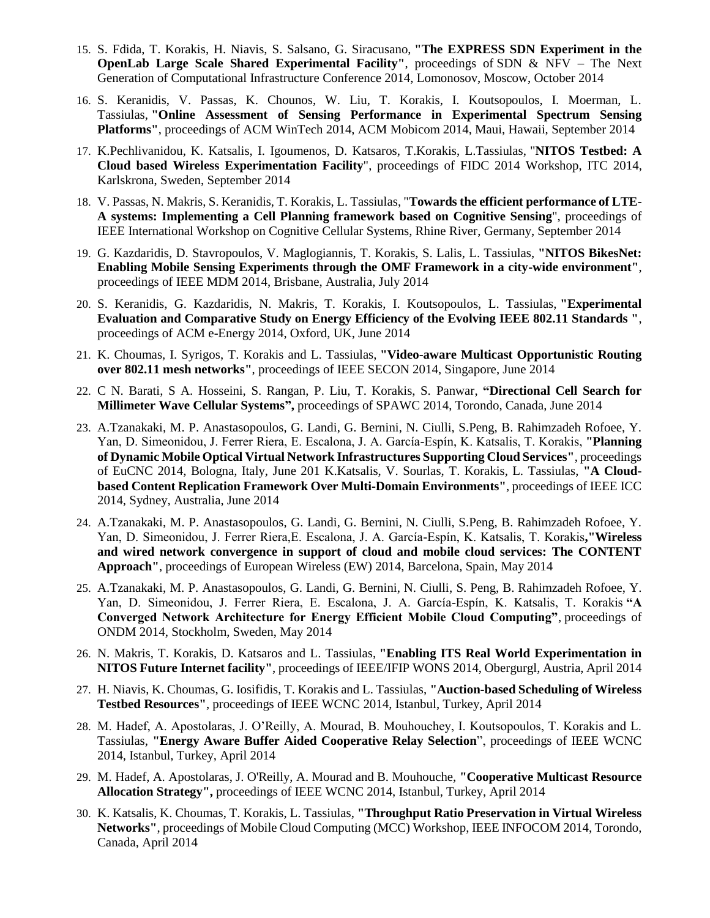- 15. S. Fdida, T. Korakis, H. Niavis, S. Salsano, G. Siracusano, **"The EXPRESS SDN Experiment in the OpenLab Large Scale Shared Experimental Facility"**, proceedings of SDN & NFV – The Next Generation of Computational Infrastructure Conference 2014, Lomonosov, Moscow, October 2014
- 16. S. Keranidis, V. Passas, K. Chounos, W. Liu, T. Korakis, I. Koutsopoulos, I. Moerman, L. Tassiulas, **"Online Assessment of Sensing Performance in Experimental Spectrum Sensing Platforms"**, proceedings of ACM WinTech 2014, ACM Mobicom 2014, Maui, Hawaii, September 2014
- 17. K.Pechlivanidou, K. Katsalis, I. Igoumenos, D. Katsaros, T.Korakis, L.Tassiulas, "**NITOS Testbed: A Cloud based Wireless Experimentation Facility**", proceedings of FIDC 2014 Workshop, ITC 2014, Karlskrona, Sweden, September 2014
- 18. V. Passas, N. Makris, S. Keranidis, T. Korakis, L. Tassiulas, "**Towards the efficient performance of LTE-A systems: Implementing a Cell Planning framework based on Cognitive Sensing**", proceedings of IEEE International Workshop on Cognitive Cellular Systems, Rhine River, Germany, September 2014
- 19. G. Kazdaridis, D. Stavropoulos, V. Maglogiannis, T. Korakis, S. Lalis, L. Tassiulas, **"NITOS BikesNet: Enabling Mobile Sensing Experiments through the OMF Framework in a city-wide environment"**, proceedings of IEEE MDM 2014, Brisbane, Australia, July 2014
- 20. S. Keranidis, G. Kazdaridis, N. Makris, T. Korakis, I. Koutsopoulos, L. Tassiulas, **"Experimental Evaluation and Comparative Study on Energy Efficiency of the Evolving IEEE 802.11 Standards "**, proceedings of ACM e-Energy 2014, Oxford, UK, June 2014
- 21. K. Choumas, I. Syrigos, T. Korakis and L. Tassiulas, **"Video-aware Multicast Opportunistic Routing over 802.11 mesh networks"**, proceedings of IEEE SECON 2014, Singapore, June 2014
- 22. C N. Barati, S A. Hosseini, S. Rangan, P. Liu, T. Korakis, S. Panwar, **["Directional Cell Search for](http://arxiv.org/abs/1404.5068)  [Millimeter Wave Cellular Systems"](http://arxiv.org/abs/1404.5068),** proceedings of SPAWC 2014, Torondo, Canada, June 2014
- 23. A.Tzanakaki, M. P. Anastasopoulos, G. Landi, G. Bernini, N. Ciulli, S.Peng, B. Rahimzadeh Rofoee, Y. Yan, D. Simeonidou, J. Ferrer Riera, E. Escalona, J. A. García-Espín, K. Katsalis, T. Korakis, **"Planning of Dynamic Mobile Optical Virtual Network Infrastructures Supporting Cloud Services"**, proceedings of EuCNC 2014, Bologna, Italy, June 201 K.Katsalis, V. Sourlas, T. Korakis, L. Tassiulas, **"A Cloudbased Content Replication Framework Over Multi-Domain Environments"**, proceedings of IEEE ICC 2014, Sydney, Australia, June 2014
- 24. A.Tzanakaki, M. P. Anastasopoulos, G. Landi, G. Bernini, N. Ciulli, S.Peng, B. Rahimzadeh Rofoee, Y. Yan, D. Simeonidou, J. Ferrer Riera,E. Escalona, J. A. García-Espín, K. Katsalis, T. Korakis**,"Wireless and wired network convergence in support of cloud and mobile cloud services: The CONTENT Approach"**, proceedings of European Wireless (EW) 2014, Barcelona, Spain, May 2014
- 25. A.Tzanakaki, M. P. Anastasopoulos, G. Landi, G. Bernini, N. Ciulli, S. Peng, B. Rahimzadeh Rofoee, Y. Yan, D. Simeonidou, J. Ferrer Riera, E. Escalona, J. A. García-Espín, K. Katsalis, T. Korakis **"A Converged Network Architecture for Energy Efficient Mobile Cloud Computing"**, proceedings of ONDM 2014, Stockholm, Sweden, May 2014
- 26. N. Makris, T. Korakis, D. Katsaros and L. Tassiulas, **"Enabling ITS Real World Experimentation in NITOS Future Internet facility"**, proceedings of IEEE/IFIP WONS 2014, Obergurgl, Austria, April 2014
- 27. H. Niavis, K. Choumas, G. Iosifidis, T. Korakis and L. Tassiulas, **"Auction-based Scheduling of Wireless Testbed Resources"**, proceedings of IEEE WCNC 2014, Istanbul, Turkey, April 2014
- 28. M. Hadef, A. Apostolaras, J. O'Reilly, A. Mourad, B. Mouhouchey, I. Koutsopoulos, T. Korakis and L. Tassiulas, **"Energy Aware Buffer Aided Cooperative Relay Selection**", proceedings of IEEE WCNC 2014, Istanbul, Turkey, April 2014
- 29. M. Hadef, A. Apostolaras, J. O'Reilly, A. Mourad and B. Mouhouche, **"Cooperative Multicast Resource Allocation Strategy",** proceedings of IEEE WCNC 2014, Istanbul, Turkey, April 2014
- 30. K. Katsalis, K. Choumas, T. Korakis, L. Tassiulas, **"Throughput Ratio Preservation in Virtual Wireless Networks"**, proceedings of Mobile Cloud Computing (MCC) Workshop, IEEE INFOCOM 2014, Torondo, Canada, April 2014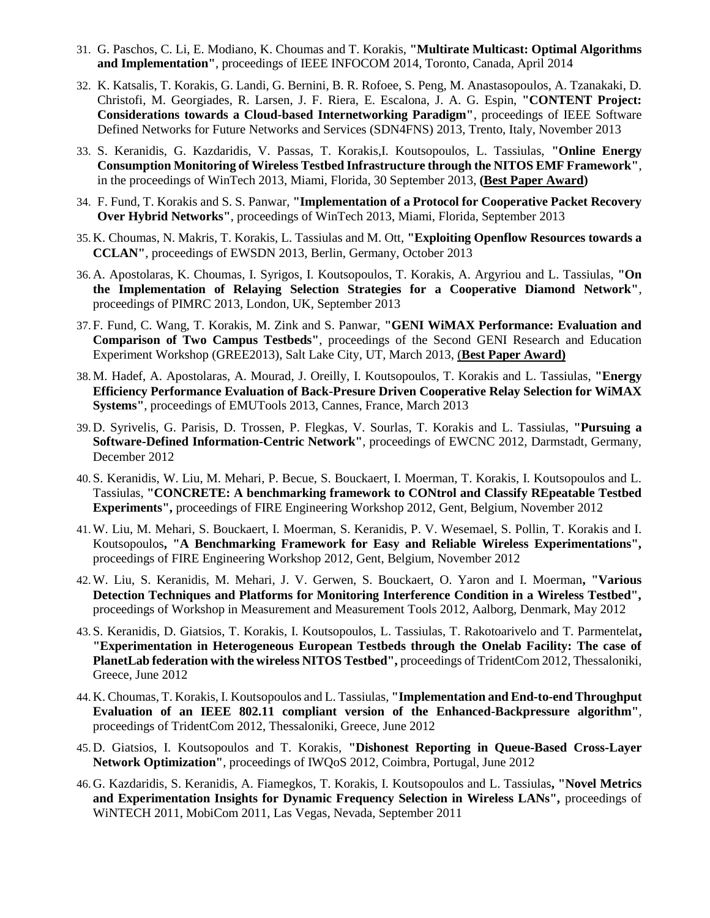- 31. G. Paschos, C. Li, E. Modiano, K. Choumas and T. Korakis, **"Multirate Multicast: Optimal Algorithms and Implementation"**, proceedings of IEEE INFOCOM 2014, Toronto, Canada, April 2014
- 32. K. Katsalis, T. Korakis, G. Landi, G. Bernini, B. R. Rofoee, S. Peng, M. Anastasopoulos, A. Tzanakaki, D. Christofi, M. Georgiades, R. Larsen, J. F. Riera, E. Escalona, J. A. G. Espin, **"CONTENT Project: Considerations towards a Cloud-based Internetworking Paradigm"**, proceedings of IEEE Software Defined Networks for Future Networks and Services (SDN4FNS) 2013, Trento, Italy, November 2013
- 33. S. Keranidis, G. Kazdaridis, V. Passas, T. Korakis,I. Koutsopoulos, L. Tassiulas, **"Online Energy Consumption Monitoring of Wireless Testbed Infrastructure through the NITOS EMF Framework"**, in the proceedings of WinTech 2013, Miami, Florida, 30 September 2013, **(Best Paper Award)**
- 34. F. Fund, T. Korakis and S. S. Panwar, **"Implementation of a Protocol for Cooperative Packet Recovery Over Hybrid Networks"**, proceedings of WinTech 2013, Miami, Florida, September 2013
- 35. K. Choumas, N. Makris, T. Korakis, L. Tassiulas and M. Ott, **"Exploiting Openflow Resources towards a CCLAN"**, proceedings of EWSDN 2013, Berlin, Germany, October 2013
- 36. A. Apostolaras, K. Choumas, I. Syrigos, I. Koutsopoulos, T. Korakis, A. Argyriou and L. Tassiulas, **"On the Implementation of Relaying Selection Strategies for a Cooperative Diamond Network"**, proceedings of PIMRC 2013, London, UK, September 2013
- 37. F. Fund, C. Wang, T. Korakis, M. Zink and S. Panwar, **"GENI WiMAX Performance: Evaluation and Comparison of Two Campus Testbeds"**, proceedings of the Second GENI Research and Education Experiment Workshop (GREE2013), Salt Lake City, UT, March 2013, (**Best Paper Award)**
- 38.M. Hadef, A. Apostolaras, A. Mourad, J. Oreilly, I. Koutsopoulos, T. Korakis and L. Tassiulas, **"Energy Efficiency Performance Evaluation of Back-Presure Driven Cooperative Relay Selection for WiMAX Systems"**, proceedings of EMUTools 2013, Cannes, France, March 2013
- 39. D. Syrivelis, G. Parisis, D. Trossen, P. Flegkas, V. Sourlas, T. Korakis and L. Tassiulas, **"Pursuing a Software-Defined Information-Centric Network"**, proceedings of EWCNC 2012, Darmstadt, Germany, December 2012
- 40. S. Keranidis, W. Liu, M. Mehari, P. Becue, S. Bouckaert, I. Moerman, T. Korakis, I. Koutsopoulos and L. Tassiulas, **"CONCRETE: A benchmarking framework to CONtrol and Classify REpeatable Testbed Experiments",** proceedings of FIRE Engineering Workshop 2012, Gent, Belgium, November 2012
- 41.W. Liu, M. Mehari, S. Bouckaert, I. Moerman, S. Keranidis, P. V. Wesemael, S. Pollin, T. Korakis and I. Koutsopoulos**, "A Benchmarking Framework for Easy and Reliable Wireless Experimentations",**  proceedings of FIRE Engineering Workshop 2012, Gent, Belgium, November 2012
- 42.W. Liu, S. Keranidis, M. Mehari, J. V. Gerwen, S. Bouckaert, O. Yaron and I. Moerman**, "Various Detection Techniques and Platforms for Monitoring Interference Condition in a Wireless Testbed",**  proceedings of Workshop in Measurement and Measurement Tools 2012, Aalborg, Denmark, May 2012
- 43. S. Keranidis, D. Giatsios, T. Korakis, I. Koutsopoulos, L. Tassiulas, T. Rakotoarivelo and T. Parmentelat**, "Experimentation in Heterogeneous European Testbeds through the Onelab Facility: The case of PlanetLab federation with the wireless NITOS Testbed",** proceedings of TridentCom 2012, Thessaloniki, Greece, June 2012
- 44. K. Choumas, T. Korakis, I. Koutsopoulos and L. Tassiulas, **"Implementation and End-to-end Throughput Evaluation of an IEEE 802.11 compliant version of the Enhanced-Backpressure algorithm"**, proceedings of TridentCom 2012, Thessaloniki, Greece, June 2012
- 45. D. Giatsios, I. Koutsopoulos and T. Korakis, **"Dishonest Reporting in Queue-Based Cross-Layer Network Optimization"**, proceedings of IWQoS 2012, Coimbra, Portugal, June 2012
- 46. G. Kazdaridis, S. Keranidis, A. Fiamegkos, T. Korakis, I. Koutsopoulos and L. Tassiulas**, "Novel Metrics and Experimentation Insights for Dynamic Frequency Selection in Wireless LANs",** proceedings of WiNTECH 2011, MobiCom 2011, Las Vegas, Nevada, September 2011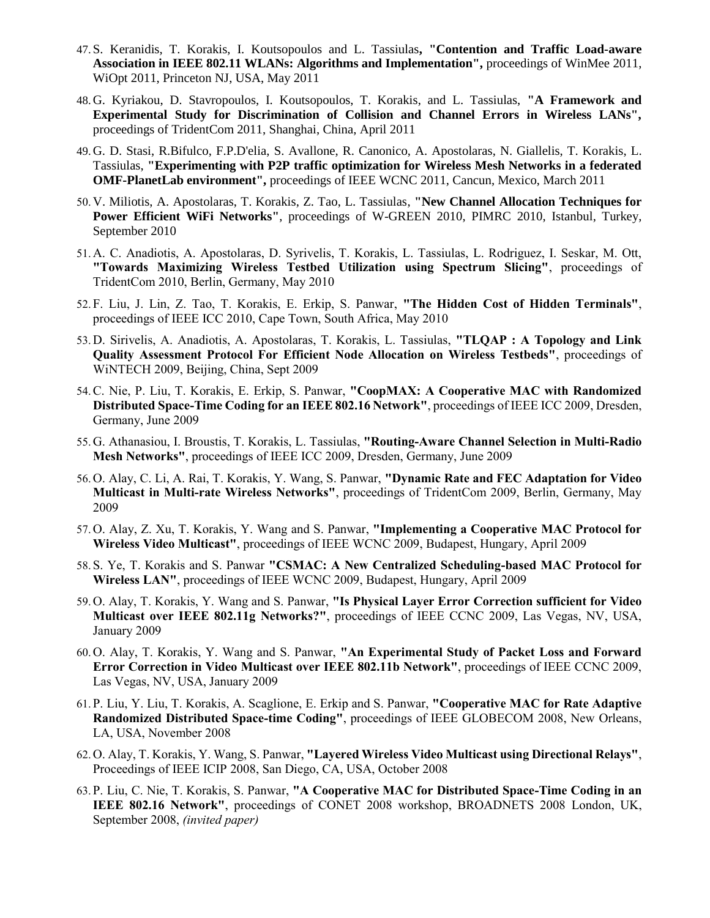- 47. S. Keranidis, T. Korakis, I. Koutsopoulos and L. Tassiulas**, "Contention and Traffic Load-aware Association in IEEE 802.11 WLANs: Algorithms and Implementation",** proceedings of WinMee 2011, WiOpt 2011, Princeton NJ, USA, May 2011
- 48. G. Kyriakou, D. Stavropoulos, I. Koutsopoulos, T. Korakis, and L. Tassiulas, **"A Framework and Experimental Study for Discrimination of Collision and Channel Errors in Wireless LANs",**  proceedings of TridentCom 2011, Shanghai, China, April 2011
- 49. G. D. Stasi, R.Bifulco, F.P.D'elia, S. Avallone, R. Canonico, A. Apostolaras, N. Giallelis, T. Korakis, L. Tassiulas, **"Experimenting with P2P traffic optimization for Wireless Mesh Networks in a federated OMF-PlanetLab environment",** proceedings of IEEE WCNC 2011, Cancun, Mexico, March 2011
- 50. V. Miliotis, A. Apostolaras, T. Korakis, Z. Tao, L. Tassiulas, **"New Channel Allocation Techniques for Power Efficient WiFi Networks"**, proceedings of W-GREEN 2010, PIMRC 2010, Istanbul, Turkey, September 2010
- 51. A. C. Anadiotis, A. Apostolaras, D. Syrivelis, T. Korakis, L. Tassiulas, L. Rodriguez, I. Seskar, M. Ott, **"Towards Maximizing Wireless Testbed Utilization using Spectrum Slicing"**, proceedings of TridentCom 2010, Berlin, Germany, May 2010
- 52. F. Liu, J. Lin, Z. Tao, T. Korakis, E. Erkip, S. Panwar, **"The Hidden Cost of Hidden Terminals"**, proceedings of IEEE ICC 2010, Cape Town, South Africa, May 2010
- 53. D. Sirivelis, A. Anadiotis, A. Apostolaras, T. Korakis, L. Tassiulas, **"TLQAP : A Topology and Link Quality Assessment Protocol For Efficient Node Allocation on Wireless Testbeds"**, proceedings of WiNTECH 2009, Beijing, China, Sept 2009
- 54.C. Nie, P. Liu, T. Korakis, E. Erkip, S. Panwar, **"CoopMAX: A Cooperative MAC with Randomized Distributed Space-Time Coding for an IEEE 802.16 Network"**, proceedings of IEEE ICC 2009, Dresden, Germany, June 2009
- 55. G. Athanasiou, I. Broustis, T. Korakis, L. Tassiulas, **"Routing-Aware Channel Selection in Multi-Radio Mesh Networks"**, proceedings of IEEE ICC 2009, Dresden, Germany, June 2009
- 56. O. Alay, C. Li, A. Rai, T. Korakis, Y. Wang, S. Panwar, **"Dynamic Rate and FEC Adaptation for Video Multicast in Multi-rate Wireless Networks"**, proceedings of TridentCom 2009, Berlin, Germany, May 2009
- 57. O. Alay, Z. Xu, T. Korakis, Y. Wang and S. Panwar, **"Implementing a Cooperative MAC Protocol for Wireless Video Multicast"**, proceedings of IEEE WCNC 2009, Budapest, Hungary, April 2009
- 58. S. Ye, T. Korakis and S. Panwar **"CSMAC: A New Centralized Scheduling-based MAC Protocol for Wireless LAN"**, proceedings of IEEE WCNC 2009, Budapest, Hungary, April 2009
- 59. O. Alay, T. Korakis, Y. Wang and S. Panwar, **"Is Physical Layer Error Correction sufficient for Video Multicast over IEEE 802.11g Networks?"**, proceedings of IEEE CCNC 2009, Las Vegas, NV, USA, January 2009
- 60. O. Alay, T. Korakis, Y. Wang and S. Panwar, **"An Experimental Study of Packet Loss and Forward Error Correction in Video Multicast over IEEE 802.11b Network"**, proceedings of IEEE CCNC 2009, Las Vegas, NV, USA, January 2009
- 61. P. Liu, Y. Liu, T. Korakis, A. Scaglione, E. Erkip and S. Panwar, **"Cooperative MAC for Rate Adaptive Randomized Distributed Space-time Coding"**, proceedings of IEEE GLOBECOM 2008, New Orleans, LA, USA, November 2008
- 62. O. Alay, T. Korakis, Y. Wang, S. Panwar, **"Layered Wireless Video Multicast using Directional Relays"**, Proceedings of IEEE ICIP 2008, San Diego, CA, USA, October 2008
- 63. P. Liu, C. Nie, T. Korakis, S. Panwar, **"A Cooperative MAC for Distributed Space-Time Coding in an IEEE 802.16 Network"**, proceedings of CONET 2008 workshop, BROADNETS 2008 London, UK, September 2008, *(invited paper)*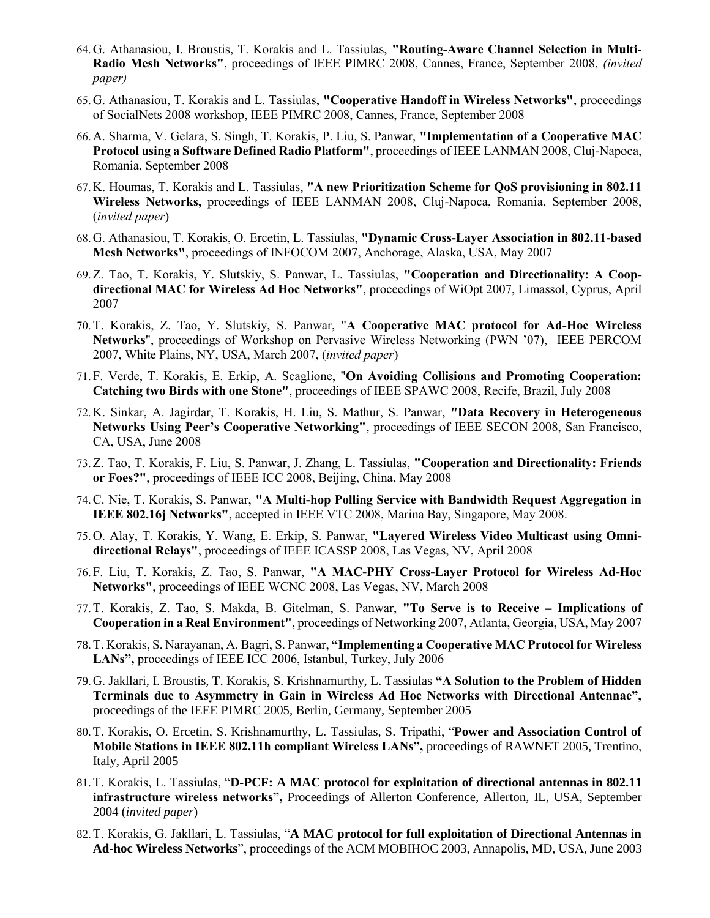- 64. G. Athanasiou, I. Broustis, T. Korakis and L. Tassiulas, **"Routing-Aware Channel Selection in Multi-Radio Mesh Networks"**, proceedings of IEEE PIMRC 2008, Cannes, France, September 2008, *(invited paper)*
- 65. G. Athanasiou, T. Korakis and L. Tassiulas, **"Cooperative Handoff in Wireless Networks"**, proceedings of SocialNets 2008 workshop, IEEE PIMRC 2008, Cannes, France, September 2008
- 66. A. Sharma, V. Gelara, S. Singh, T. Korakis, P. Liu, S. Panwar, **"Implementation of a Cooperative MAC Protocol using a Software Defined Radio Platform"**, proceedings of IEEE LANMAN 2008, Cluj-Napoca, Romania, September 2008
- 67. K. Houmas, T. Korakis and L. Tassiulas, **"A new Prioritization Scheme for QoS provisioning in 802.11 Wireless Networks,** proceedings of IEEE LANMAN 2008, Cluj-Napoca, Romania, September 2008, (*invited paper*)
- 68. G. Athanasiou, T. Korakis, O. Ercetin, L. Tassiulas, **"Dynamic Cross-Layer Association in 802.11-based Mesh Networks"**, proceedings of INFOCOM 2007, Anchorage, Alaska, USA, May 2007
- 69.Z. Tao, T. Korakis, Y. Slutskiy, S. Panwar, L. Tassiulas, **"Cooperation and Directionality: A Coopdirectional MAC for Wireless Ad Hoc Networks"**, proceedings of WiOpt 2007, Limassol, Cyprus, April 2007
- 70.T. Korakis, Z. Tao, Y. Slutskiy, S. Panwar, "**A Cooperative MAC protocol for Ad-Hoc Wireless Networks**", proceedings of Workshop on Pervasive Wireless Networking (PWN '07), IEEE PERCOM 2007, White Plains, NY, USA, March 2007, (*invited paper*)
- 71. F. Verde, T. Korakis, E. Erkip, A. Scaglione, "**On Avoiding Collisions and Promoting Cooperation: Catching two Birds with one Stone"**, proceedings of IEEE SPAWC 2008, Recife, Brazil, July 2008
- 72. K. Sinkar, A. Jagirdar, T. Korakis, H. Liu, S. Mathur, S. Panwar, **"Data Recovery in Heterogeneous Networks Using Peer's Cooperative Networking"**, proceedings of IEEE SECON 2008, San Francisco, CA, USA, June 2008
- 73.Z. Tao, T. Korakis, F. Liu, S. Panwar, J. Zhang, L. Tassiulas, **"Cooperation and Directionality: Friends or Foes?"**, proceedings of IEEE ICC 2008, Beijing, China, May 2008
- 74.C. Nie, T. Korakis, S. Panwar, **"A Multi-hop Polling Service with Bandwidth Request Aggregation in IEEE 802.16j Networks"**, accepted in IEEE VTC 2008, Marina Bay, Singapore, May 2008.
- 75. O. Alay, T. Korakis, Y. Wang, E. Erkip, S. Panwar, **"Layered Wireless Video Multicast using Omnidirectional Relays"**, proceedings of IEEE ICASSP 2008, Las Vegas, NV, April 2008
- 76. F. Liu, T. Korakis, Z. Tao, S. Panwar, **"A MAC-PHY Cross-Layer Protocol for Wireless Ad-Hoc Networks"**, proceedings of IEEE WCNC 2008, Las Vegas, NV, March 2008
- 77.T. Korakis, Z. Tao, S. Makda, B. Gitelman, S. Panwar, **"To Serve is to Receive – Implications of Cooperation in a Real Environment"**, proceedings of Networking 2007, Atlanta, Georgia, USA, May 2007
- 78.T. Korakis, S. Narayanan, A. Bagri, S. Panwar, **"Implementing a Cooperative MAC Protocol for Wireless**  LANs", proceedings of IEEE ICC 2006, Istanbul, Turkey, July 2006
- 79. G. Jakllari, I. Broustis, T. Korakis, S. Krishnamurthy, L. Tassiulas **"A Solution to the Problem of Hidden Terminals due to Asymmetry in Gain in Wireless Ad Hoc Networks with Directional Antennae",**  proceedings of the IEEE PIMRC 2005, Berlin, Germany, September 2005
- 80.T. Korakis, O. Ercetin, S. Krishnamurthy, L. Tassiulas, S. Tripathi, "**Power and Association Control of Mobile Stations in IEEE 802.11h compliant Wireless LANs",** proceedings of RAWNET 2005, Trentino, Italy, April 2005
- 81.T. Korakis, L. Tassiulas, "**D-PCF: A MAC protocol for exploitation of directional antennas in 802.11 infrastructure wireless networks",** Proceedings of Allerton Conference, Allerton, IL, USA, September 2004 (*invited paper*)
- 82.T. Korakis, G. Jakllari, L. Tassiulas, "**A MAC protocol for full exploitation of Directional Antennas in Ad-hoc Wireless Networks**", proceedings of the ACM MOBIHOC 2003, Annapolis, MD, USA, June 2003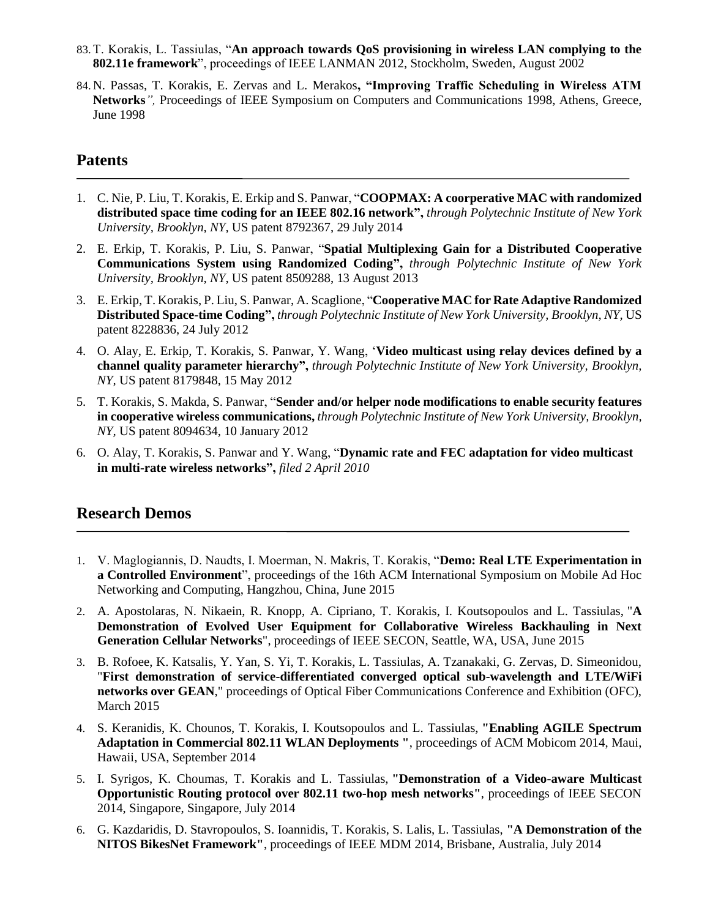- 83.T. Korakis, L. Tassiulas, "**An approach towards QoS provisioning in wireless LAN complying to the 802.11e framework**", proceedings of IEEE LANMAN 2012, Stockholm, Sweden, August 2002
- 84. N. Passas, T. Korakis, E. Zervas and L. Merakos**, "Improving Traffic Scheduling in Wireless ATM Networks***",* Proceedings of IEEE Symposium on Computers and Communications 1998, Athens, Greece, June 1998

#### **Patents**

- 1. C. Nie, P. Liu, T. Korakis, E. Erkip and S. Panwar, "**COOPMAX: A coorperative MAC with randomized distributed space time coding for an IEEE 802.16 network",** *through Polytechnic Institute of New York University, Brooklyn, NY,* US patent 8792367, 29 July 2014
- 2. E. Erkip, T. Korakis, P. Liu, S. Panwar, "**Spatial Multiplexing Gain for a Distributed Cooperative Communications System using Randomized Coding",** *through Polytechnic Institute of New York University, Brooklyn, NY,* US patent 8509288, 13 August 2013
- 3. E. Erkip, T. Korakis, P. Liu, S. Panwar, A. Scaglione, "**Cooperative MAC for Rate Adaptive Randomized Distributed Space-time Coding",** *through Polytechnic Institute of New York University, Brooklyn, NY,* US patent 8228836, 24 July 2012
- 4. O. Alay, E. Erkip, T. Korakis, S. Panwar, Y. Wang, '**Video multicast using relay devices defined by a channel quality parameter hierarchy",** *through Polytechnic Institute of New York University, Brooklyn, NY,* US patent 8179848, 15 May 2012
- 5. T. Korakis, S. Makda, S. Panwar, "**Sender and/or helper node modifications to enable security features in cooperative wireless communications,** *through Polytechnic Institute of New York University, Brooklyn, NY,* US patent 8094634, 10 January 2012
- 6. O. Alay, T. Korakis, S. Panwar and Y. Wang, "**Dynamic rate and FEC adaptation for video multicast in multi-rate wireless networks",** *filed 2 April 2010*

#### **Research Demos**

- 1. V. Maglogiannis, D. Naudts, I. Moerman, N. Makris, T. Korakis, "**Demo: Real LTE Experimentation in a Controlled Environment**", proceedings of the 16th ACM International Symposium on Mobile Ad Hoc Networking and Computing, Hangzhou, China, June 2015
- 2. A. Apostolaras, N. Nikaein, R. Knopp, A. Cipriano, T. Korakis, I. Koutsopoulos and L. Tassiulas, "**A Demonstration of Evolved User Equipment for Collaborative Wireless Backhauling in Next Generation Cellular Networks**", proceedings of IEEE SECON, Seattle, WA, USA, June 2015
- 3. B. Rofoee, K. Katsalis, Y. Yan, S. Yi, T. Korakis, L. Tassiulas, A. Tzanakaki, G. Zervas, D. Simeonidou, "**First demonstration of service-differentiated converged optical sub-wavelength and LTE/WiFi networks over GEAN**," proceedings of Optical Fiber Communications Conference and Exhibition (OFC), March 2015
- 4. S. Keranidis, K. Chounos, T. Korakis, I. Koutsopoulos and L. Tassiulas, **"Enabling AGILE Spectrum Adaptation in Commercial 802.11 WLAN Deployments "**, proceedings of ACM Mobicom 2014, Maui, Hawaii, USA, September 2014
- 5. I. Syrigos, K. Choumas, T. Korakis and L. Tassiulas, **"Demonstration of a Video-aware Multicast Opportunistic Routing protocol over 802.11 two-hop mesh networks"**, proceedings of IEEE SECON 2014, Singapore, Singapore, July 2014
- 6. G. Kazdaridis, D. Stavropoulos, S. Ioannidis, T. Korakis, S. Lalis, L. Tassiulas, **"A Demonstration of the NITOS BikesNet Framework"**, proceedings of IEEE MDM 2014, Brisbane, Australia, July 2014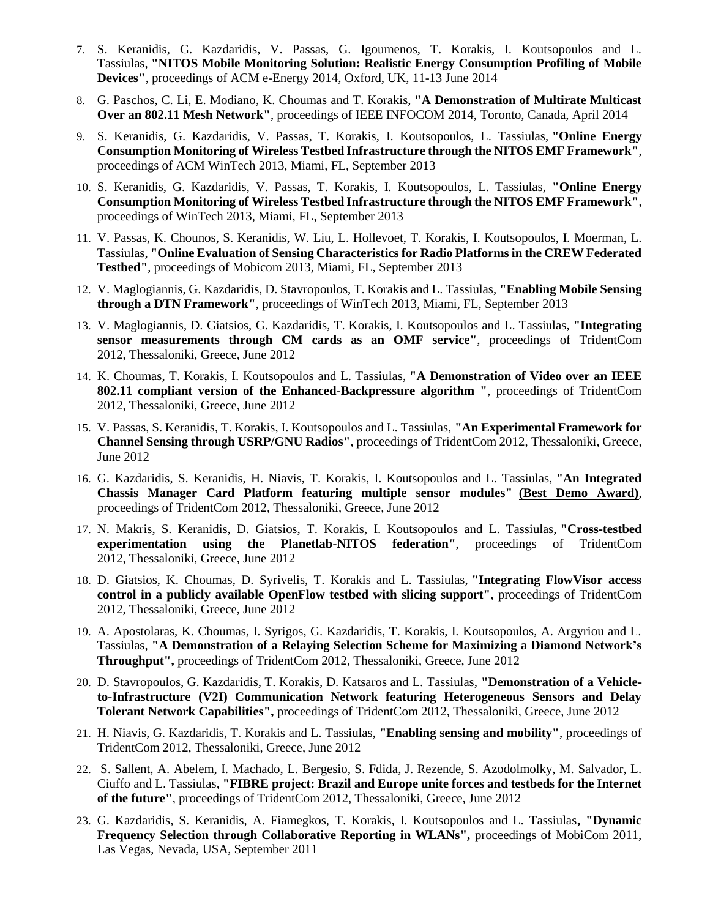- 7. S. Keranidis, G. Kazdaridis, V. Passas, G. Igoumenos, T. Korakis, I. Koutsopoulos and L. Tassiulas, **"NITOS Mobile Monitoring Solution: Realistic Energy Consumption Profiling of Mobile Devices"**, proceedings of ACM e-Energy 2014, Oxford, UK, 11-13 June 2014
- 8. G. Paschos, C. Li, E. Modiano, K. Choumas and T. Korakis, **"A Demonstration of Multirate Multicast Over an 802.11 Mesh Network"**, proceedings of IEEE INFOCOM 2014, Toronto, Canada, April 2014
- 9. S. Keranidis, G. Kazdaridis, V. Passas, T. Korakis, I. Koutsopoulos, L. Tassiulas, **"Online Energy Consumption Monitoring of Wireless Testbed Infrastructure through the NITOS EMF Framework"**, proceedings of ACM WinTech 2013, Miami, FL, September 2013
- 10. S. Keranidis, G. Kazdaridis, V. Passas, T. Korakis, I. Koutsopoulos, L. Tassiulas, **"Online Energy Consumption Monitoring of Wireless Testbed Infrastructure through the NITOS EMF Framework"**, proceedings of WinTech 2013, Miami, FL, September 2013
- 11. V. Passas, K. Chounos, S. Keranidis, W. Liu, L. Hollevoet, T. Korakis, I. Koutsopoulos, I. Moerman, L. Tassiulas, **"Online Evaluation of Sensing Characteristics for Radio Platforms in the CREW Federated Testbed"**, proceedings of Mobicom 2013, Miami, FL, September 2013
- 12. V. Maglogiannis, G. Kazdaridis, D. Stavropoulos, T. Korakis and L. Tassiulas, **"Enabling Mobile Sensing through a DTN Framework"**, proceedings of WinTech 2013, Miami, FL, September 2013
- 13. V. Maglogiannis, D. Giatsios, G. Kazdaridis, T. Korakis, I. Koutsopoulos and L. Tassiulas, **"Integrating sensor measurements through CM cards as an OMF service"**, proceedings of TridentCom 2012, Thessaloniki, Greece, June 2012
- 14. K. Choumas, T. Korakis, I. Koutsopoulos and L. Tassiulas, **"A Demonstration of Video over an IEEE 802.11 compliant version of the Enhanced-Backpressure algorithm "**, proceedings of TridentCom 2012, Thessaloniki, Greece, June 2012
- 15. V. Passas, S. Keranidis, T. Korakis, I. Koutsopoulos and L. Tassiulas, **"An Experimental Framework for Channel Sensing through USRP/GNU Radios"**, proceedings of TridentCom 2012, Thessaloniki, Greece, June 2012
- 16. G. Kazdaridis, S. Keranidis, H. Niavis, T. Korakis, I. Koutsopoulos and L. Tassiulas, **"An Integrated Chassis Manager Card Platform featuring multiple sensor modules" [\(Best Demo Award\)](http://volos.iti.gr/~efkerani/images/Tridentcom_2012_Best_Demo.jpg)**, proceedings of TridentCom 2012, Thessaloniki, Greece, June 2012
- 17. N. Makris, S. Keranidis, D. Giatsios, T. Korakis, I. Koutsopoulos and L. Tassiulas, **"Cross-testbed experimentation using the Planetlab-NITOS federation"**, proceedings of TridentCom 2012, Thessaloniki, Greece, June 2012
- 18. D. Giatsios, K. Choumas, D. Syrivelis, T. Korakis and L. Tassiulas, **"Integrating FlowVisor access control in a publicly available OpenFlow testbed with slicing support"**, proceedings of TridentCom 2012, Thessaloniki, Greece, June 2012
- 19. A. Apostolaras, K. Choumas, I. Syrigos, G. Kazdaridis, T. Korakis, I. Koutsopoulos, A. Argyriou and L. Tassiulas, **"A Demonstration of a Relaying Selection Scheme for Maximizing a Diamond Network's Throughput",** proceedings of TridentCom 2012, Thessaloniki, Greece, June 2012
- 20. D. Stavropoulos, G. Kazdaridis, T. Korakis, D. Katsaros and L. Tassiulas, **"Demonstration of a Vehicleto-Infrastructure (V2I) Communication Network featuring Heterogeneous Sensors and Delay Tolerant Network Capabilities",** proceedings of TridentCom 2012, Thessaloniki, Greece, June 2012
- 21. H. Niavis, G. Kazdaridis, T. Korakis and L. Tassiulas, **"Enabling sensing and mobility"**, proceedings of TridentCom 2012, Thessaloniki, Greece, June 2012
- 22. S. Sallent, A. Abelem, I. Machado, L. Bergesio, S. Fdida, J. Rezende, S. Azodolmolky, M. Salvador, L. Ciuffo and L. Tassiulas, **"FIBRE project: Brazil and Europe unite forces and testbeds for the Internet of the future"**, proceedings of TridentCom 2012, Thessaloniki, Greece, June 2012
- 23. G. Kazdaridis, S. Keranidis, A. Fiamegkos, T. Korakis, I. Koutsopoulos and L. Tassiulas**, "Dynamic Frequency Selection through Collaborative Reporting in WLANs",** proceedings of MobiCom 2011, Las Vegas, Nevada, USA, September 2011